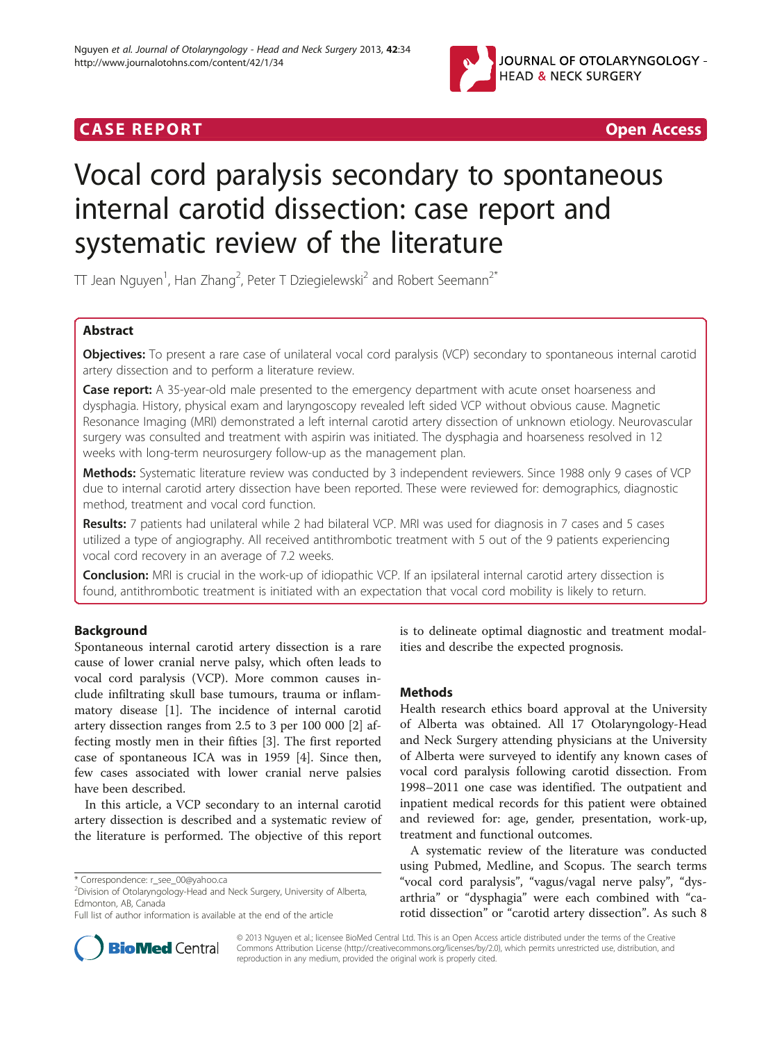

# CA S E R E POR T Open Access

# Vocal cord paralysis secondary to spontaneous internal carotid dissection: case report and systematic review of the literature

 $T$ T Jean Nguyen<sup>1</sup>, Han Zhang<sup>2</sup>, Peter T Dziegielewski<sup>2</sup> and Robert Seemann<sup>2\*</sup>

# Abstract

Objectives: To present a rare case of unilateral vocal cord paralysis (VCP) secondary to spontaneous internal carotid artery dissection and to perform a literature review.

Case report: A 35-year-old male presented to the emergency department with acute onset hoarseness and dysphagia. History, physical exam and laryngoscopy revealed left sided VCP without obvious cause. Magnetic Resonance Imaging (MRI) demonstrated a left internal carotid artery dissection of unknown etiology. Neurovascular surgery was consulted and treatment with aspirin was initiated. The dysphagia and hoarseness resolved in 12 weeks with long-term neurosurgery follow-up as the management plan.

Methods: Systematic literature review was conducted by 3 independent reviewers. Since 1988 only 9 cases of VCP due to internal carotid artery dissection have been reported. These were reviewed for: demographics, diagnostic method, treatment and vocal cord function.

Results: 7 patients had unilateral while 2 had bilateral VCP. MRI was used for diagnosis in 7 cases and 5 cases utilized a type of angiography. All received antithrombotic treatment with 5 out of the 9 patients experiencing vocal cord recovery in an average of 7.2 weeks.

Conclusion: MRI is crucial in the work-up of idiopathic VCP. If an ipsilateral internal carotid artery dissection is found, antithrombotic treatment is initiated with an expectation that vocal cord mobility is likely to return.

# Background

Spontaneous internal carotid artery dissection is a rare cause of lower cranial nerve palsy, which often leads to vocal cord paralysis (VCP). More common causes include infiltrating skull base tumours, trauma or inflammatory disease [[1\]](#page-4-0). The incidence of internal carotid artery dissection ranges from 2.5 to 3 per 100 000 [[2](#page-4-0)] affecting mostly men in their fifties [[3\]](#page-4-0). The first reported case of spontaneous ICA was in 1959 [[4\]](#page-4-0). Since then, few cases associated with lower cranial nerve palsies have been described.

In this article, a VCP secondary to an internal carotid artery dissection is described and a systematic review of the literature is performed. The objective of this report



# **Methods**

Health research ethics board approval at the University of Alberta was obtained. All 17 Otolaryngology-Head and Neck Surgery attending physicians at the University of Alberta were surveyed to identify any known cases of vocal cord paralysis following carotid dissection. From 1998–2011 one case was identified. The outpatient and inpatient medical records for this patient were obtained and reviewed for: age, gender, presentation, work-up, treatment and functional outcomes.

A systematic review of the literature was conducted using Pubmed, Medline, and Scopus. The search terms "vocal cord paralysis", "vagus/vagal nerve palsy", "dysarthria" or "dysphagia" were each combined with "carotid dissection" or "carotid artery dissection". As such 8



© 2013 Nguyen et al.; licensee BioMed Central Ltd. This is an Open Access article distributed under the terms of the Creative Commons Attribution License [\(http://creativecommons.org/licenses/by/2.0\)](http://creativecommons.org/licenses/by/2.0), which permits unrestricted use, distribution, and reproduction in any medium, provided the original work is properly cited.

<sup>\*</sup> Correspondence: [r\\_see\\_00@yahoo.ca](mailto:r_see_00@yahoo.ca) <sup>2</sup>

<sup>&</sup>lt;sup>2</sup>Division of Otolaryngology-Head and Neck Surgery, University of Alberta, Edmonton, AB, Canada

Full list of author information is available at the end of the article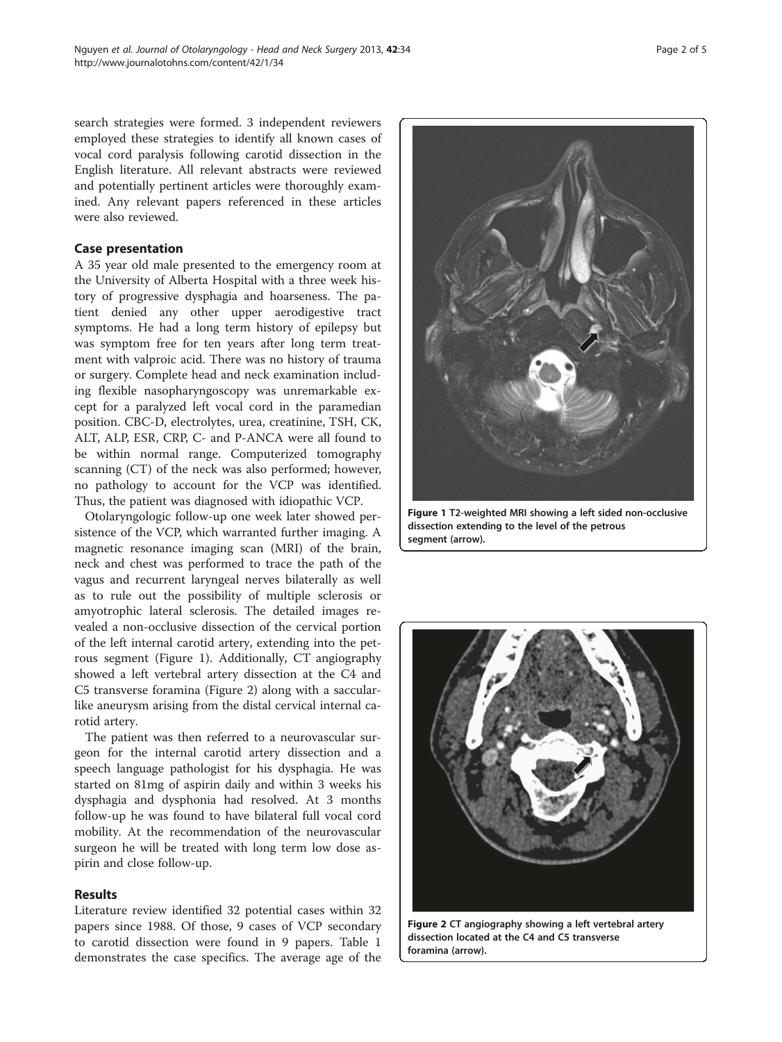search strategies were formed. 3 independent reviewers employed these strategies to identify all known cases of vocal cord paralysis following carotid dissection in the English literature. All relevant abstracts were reviewed and potentially pertinent articles were thoroughly examined. Any relevant papers referenced in these articles were also reviewed.

# Case presentation

A 35 year old male presented to the emergency room at the University of Alberta Hospital with a three week history of progressive dysphagia and hoarseness. The patient denied any other upper aerodigestive tract symptoms. He had a long term history of epilepsy but was symptom free for ten years after long term treatment with valproic acid. There was no history of trauma or surgery. Complete head and neck examination including flexible nasopharyngoscopy was unremarkable except for a paralyzed left vocal cord in the paramedian position. CBC-D, electrolytes, urea, creatinine, TSH, CK, ALT, ALP, ESR, CRP, C- and P-ANCA were all found to be within normal range. Computerized tomography scanning (CT) of the neck was also performed; however, no pathology to account for the VCP was identified. Thus, the patient was diagnosed with idiopathic VCP.

Otolaryngologic follow-up one week later showed persistence of the VCP, which warranted further imaging. A magnetic resonance imaging scan (MRI) of the brain, neck and chest was performed to trace the path of the vagus and recurrent laryngeal nerves bilaterally as well as to rule out the possibility of multiple sclerosis or amyotrophic lateral sclerosis. The detailed images revealed a non-occlusive dissection of the cervical portion of the left internal carotid artery, extending into the petrous segment (Figure 1). Additionally, CT angiography showed a left vertebral artery dissection at the C4 and C5 transverse foramina (Figure 2) along with a saccularlike aneurysm arising from the distal cervical internal carotid artery.

The patient was then referred to a neurovascular surgeon for the internal carotid artery dissection and a speech language pathologist for his dysphagia. He was started on 81mg of aspirin daily and within 3 weeks his dysphagia and dysphonia had resolved. At 3 months follow-up he was found to have bilateral full vocal cord mobility. At the recommendation of the neurovascular surgeon he will be treated with long term low dose aspirin and close follow-up.

#### Results

Literature review identified 32 potential cases within 32 papers since 1988. Of those, 9 cases of VCP secondary to carotid dissection were found in 9 papers. Table [1](#page-2-0) demonstrates the case specifics. The average age of the



Figure 1 T2-weighted MRI showing a left sided non-occlusive dissection extending to the level of the petrous segment (arrow).



Figure 2 CT angiography showing a left vertebral artery dissection located at the C4 and C5 transverse foramina (arrow).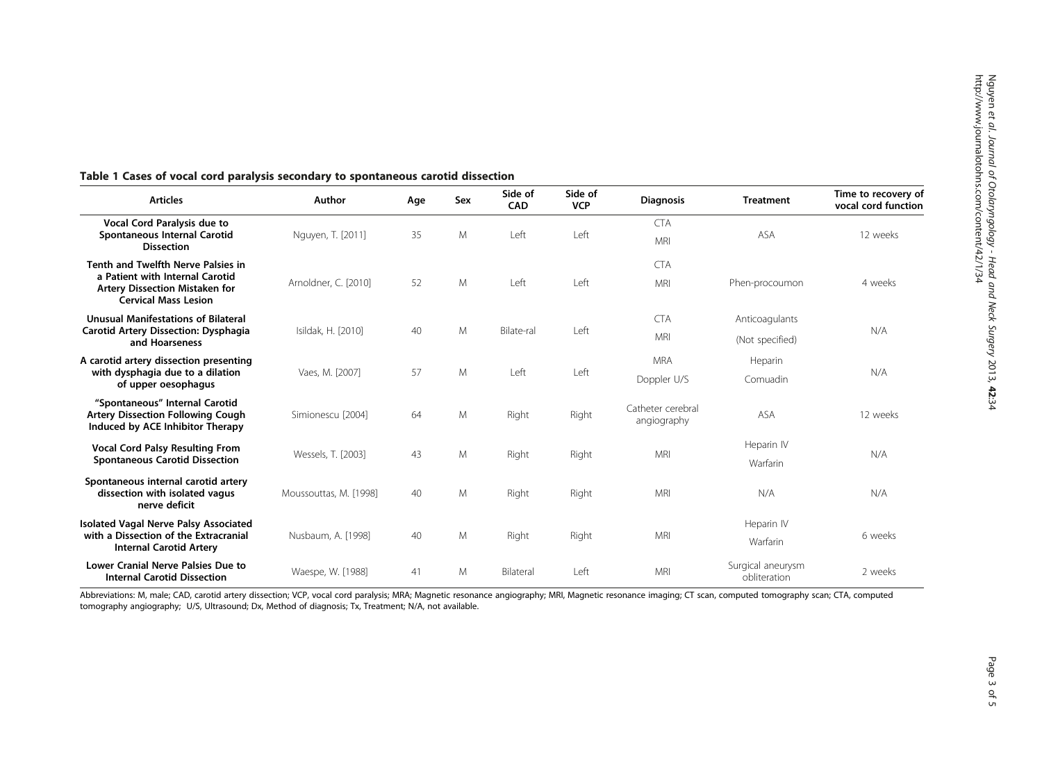نغ<br>4

| <b>Articles</b>                                                                                                                        | Author                 | Age | Sex | Side of<br>CAD | Side of<br><b>VCP</b> | <b>Diagnosis</b>                 | <b>Treatment</b>                  | Time to recovery of<br>vocal cord function |
|----------------------------------------------------------------------------------------------------------------------------------------|------------------------|-----|-----|----------------|-----------------------|----------------------------------|-----------------------------------|--------------------------------------------|
| Vocal Cord Paralysis due to<br>Spontaneous Internal Carotid<br><b>Dissection</b>                                                       | Nguyen, T. [2011]      | 35  | M   | Left           | Left                  | <b>CTA</b><br><b>MRI</b>         | ASA                               | 12 weeks                                   |
| Tenth and Twelfth Nerve Palsies in<br>a Patient with Internal Carotid<br>Artery Dissection Mistaken for<br><b>Cervical Mass Lesion</b> | Arnoldner, C. [2010]   | 52  | M   | Left           | Left                  | <b>CTA</b><br><b>MRI</b>         | Phen-procoumon                    | 4 weeks                                    |
| <b>Unusual Manifestations of Bilateral</b><br>Carotid Artery Dissection: Dysphagia<br>and Hoarseness                                   | Isildak, H. [2010]     | 40  | M   | Bilate-ral     | Left                  | <b>CTA</b><br><b>MRI</b>         | Anticoagulants<br>(Not specified) | N/A                                        |
| A carotid artery dissection presenting<br>with dysphagia due to a dilation<br>of upper oesophagus                                      | Vaes, M. [2007]        | 57  | M   | Left           | Left                  | <b>MRA</b><br>Doppler U/S        | Heparin<br>Comuadin               | N/A                                        |
| "Spontaneous" Internal Carotid<br><b>Artery Dissection Following Cough</b><br>Induced by ACE Inhibitor Therapy                         | Simionescu [2004]      | 64  | M   | Right          | Right                 | Catheter cerebral<br>angiography | ASA                               | 12 weeks                                   |
| <b>Vocal Cord Palsy Resulting From</b><br><b>Spontaneous Carotid Dissection</b>                                                        | Wessels, T. [2003]     | 43  | M   | Right          | Right                 | <b>MRI</b>                       | Heparin IV<br>Warfarin            | N/A                                        |
| Spontaneous internal carotid artery<br>dissection with isolated vagus<br>nerve deficit                                                 | Moussouttas, M. [1998] | 40  | M   | Right          | Right                 | <b>MRI</b>                       | N/A                               | N/A                                        |
| <b>Isolated Vagal Nerve Palsy Associated</b><br>with a Dissection of the Extracranial<br><b>Internal Carotid Artery</b>                | Nusbaum, A. [1998]     | 40  | M   | Right          | Right                 | <b>MRI</b>                       | Heparin IV<br>Warfarin            | 6 weeks                                    |
| <b>Lower Cranial Nerve Palsies Due to</b><br><b>Internal Carotid Dissection</b>                                                        | Waespe, W. [1988]      | 41  | M   | Bilateral      | Left                  | <b>MRI</b>                       | Surgical aneurysm<br>obliteration | 2 weeks                                    |

# <span id="page-2-0"></span>Table 1 Cases of vocal cord paralysis secondary to spontaneous carotid dissection

Abbreviations: M, male; CAD, carotid artery dissection; VCP, vocal cord paralysis; MRA; Magnetic resonance angiography; MRI, Magnetic resonance imaging; CT scan, computed tomography scan; CTA, computed tomography angiography; U/S, Ultrasound; Dx, Method of diagnosis; Tx, Treatment; N/A, not available.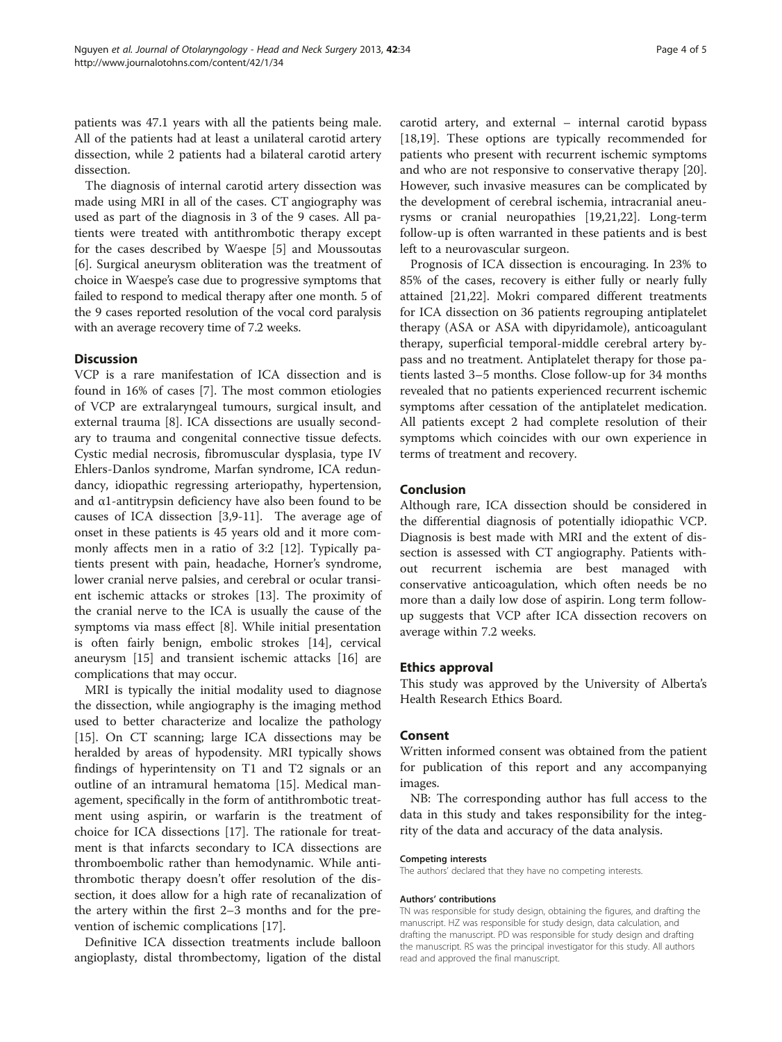patients was 47.1 years with all the patients being male. All of the patients had at least a unilateral carotid artery dissection, while 2 patients had a bilateral carotid artery dissection.

The diagnosis of internal carotid artery dissection was made using MRI in all of the cases. CT angiography was used as part of the diagnosis in 3 of the 9 cases. All patients were treated with antithrombotic therapy except for the cases described by Waespe [\[5](#page-4-0)] and Moussoutas [[6\]](#page-4-0). Surgical aneurysm obliteration was the treatment of choice in Waespe's case due to progressive symptoms that failed to respond to medical therapy after one month. 5 of the 9 cases reported resolution of the vocal cord paralysis with an average recovery time of 7.2 weeks.

# Discussion

VCP is a rare manifestation of ICA dissection and is found in 16% of cases [[7\]](#page-4-0). The most common etiologies of VCP are extralaryngeal tumours, surgical insult, and external trauma [[8\]](#page-4-0). ICA dissections are usually secondary to trauma and congenital connective tissue defects. Cystic medial necrosis, fibromuscular dysplasia, type IV Ehlers-Danlos syndrome, Marfan syndrome, ICA redundancy, idiopathic regressing arteriopathy, hypertension, and α1-antitrypsin deficiency have also been found to be causes of ICA dissection [\[3,9](#page-4-0)-[11\]](#page-4-0). The average age of onset in these patients is 45 years old and it more commonly affects men in a ratio of 3:2 [\[12](#page-4-0)]. Typically patients present with pain, headache, Horner's syndrome, lower cranial nerve palsies, and cerebral or ocular transient ischemic attacks or strokes [[13](#page-4-0)]. The proximity of the cranial nerve to the ICA is usually the cause of the symptoms via mass effect [\[8](#page-4-0)]. While initial presentation is often fairly benign, embolic strokes [[14\]](#page-4-0), cervical aneurysm [\[15](#page-4-0)] and transient ischemic attacks [\[16\]](#page-4-0) are complications that may occur.

MRI is typically the initial modality used to diagnose the dissection, while angiography is the imaging method used to better characterize and localize the pathology [[15\]](#page-4-0). On CT scanning; large ICA dissections may be heralded by areas of hypodensity. MRI typically shows findings of hyperintensity on T1 and T2 signals or an outline of an intramural hematoma [\[15\]](#page-4-0). Medical management, specifically in the form of antithrombotic treatment using aspirin, or warfarin is the treatment of choice for ICA dissections [\[17](#page-4-0)]. The rationale for treatment is that infarcts secondary to ICA dissections are thromboembolic rather than hemodynamic. While antithrombotic therapy doesn't offer resolution of the dissection, it does allow for a high rate of recanalization of the artery within the first 2–3 months and for the prevention of ischemic complications [[17](#page-4-0)].

Definitive ICA dissection treatments include balloon angioplasty, distal thrombectomy, ligation of the distal

carotid artery, and external – internal carotid bypass [[18,19\]](#page-4-0). These options are typically recommended for patients who present with recurrent ischemic symptoms and who are not responsive to conservative therapy [\[20](#page-4-0)]. However, such invasive measures can be complicated by the development of cerebral ischemia, intracranial aneurysms or cranial neuropathies [[19,21](#page-4-0),[22](#page-4-0)]. Long-term follow-up is often warranted in these patients and is best left to a neurovascular surgeon.

Prognosis of ICA dissection is encouraging. In 23% to 85% of the cases, recovery is either fully or nearly fully attained [[21,22\]](#page-4-0). Mokri compared different treatments for ICA dissection on 36 patients regrouping antiplatelet therapy (ASA or ASA with dipyridamole), anticoagulant therapy, superficial temporal-middle cerebral artery bypass and no treatment. Antiplatelet therapy for those patients lasted 3–5 months. Close follow-up for 34 months revealed that no patients experienced recurrent ischemic symptoms after cessation of the antiplatelet medication. All patients except 2 had complete resolution of their symptoms which coincides with our own experience in terms of treatment and recovery.

# Conclusion

Although rare, ICA dissection should be considered in the differential diagnosis of potentially idiopathic VCP. Diagnosis is best made with MRI and the extent of dissection is assessed with CT angiography. Patients without recurrent ischemia are best managed with conservative anticoagulation, which often needs be no more than a daily low dose of aspirin. Long term followup suggests that VCP after ICA dissection recovers on average within 7.2 weeks.

### Ethics approval

This study was approved by the University of Alberta's Health Research Ethics Board.

### Consent

Written informed consent was obtained from the patient for publication of this report and any accompanying images.

NB: The corresponding author has full access to the data in this study and takes responsibility for the integrity of the data and accuracy of the data analysis.

#### Competing interests

The authors' declared that they have no competing interests.

#### Authors' contributions

TN was responsible for study design, obtaining the figures, and drafting the manuscript. HZ was responsible for study design, data calculation, and drafting the manuscript. PD was responsible for study design and drafting the manuscript. RS was the principal investigator for this study. All authors read and approved the final manuscript.